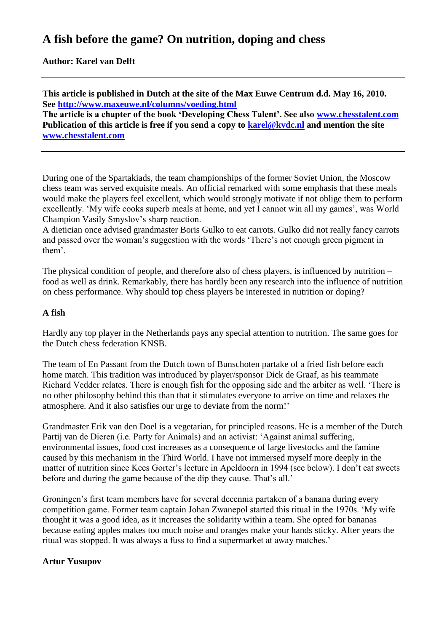# **A fish before the game? On nutrition, doping and chess**

**Author: Karel van Delft**

**This article is published in Dutch at the site of the Max Euwe Centrum d.d. May 16, 2010. See<http://www.maxeuwe.nl/columns/voeding.html>**

**The article is a chapter of the book 'Developing Chess Talent'. See also [www.chesstalent.com](http://www.chesstalent.com/) Publication of this article is free if you send a copy to [karel@kvdc.nl](mailto:karel@kvdc.nl) and mention the site [www.chesstalent.com](http://www.chesstalent.com/)**

During one of the Spartakiads, the team championships of the former Soviet Union, the Moscow chess team was served exquisite meals. An official remarked with some emphasis that these meals would make the players feel excellent, which would strongly motivate if not oblige them to perform excellently. 'My wife cooks superb meals at home, and yet I cannot win all my games', was World Champion Vasily Smyslov"s sharp reaction.

A dietician once advised grandmaster Boris Gulko to eat carrots. Gulko did not really fancy carrots and passed over the woman"s suggestion with the words "There"s not enough green pigment in them".

The physical condition of people, and therefore also of chess players, is influenced by nutrition – food as well as drink. Remarkably, there has hardly been any research into the influence of nutrition on chess performance. Why should top chess players be interested in nutrition or doping?

#### **A fish**

Hardly any top player in the Netherlands pays any special attention to nutrition. The same goes for the Dutch chess federation KNSB.

The team of En Passant from the Dutch town of Bunschoten partake of a fried fish before each home match. This tradition was introduced by player/sponsor Dick de Graaf, as his teammate Richard Vedder relates. There is enough fish for the opposing side and the arbiter as well. "There is no other philosophy behind this than that it stimulates everyone to arrive on time and relaxes the atmosphere. And it also satisfies our urge to deviate from the norm!"

Grandmaster Erik van den Doel is a vegetarian, for principled reasons. He is a member of the Dutch Partij van de Dieren (i.e. Party for Animals) and an activist: "Against animal suffering, environmental issues, food cost increases as a consequence of large livestocks and the famine caused by this mechanism in the Third World. I have not immersed myself more deeply in the matter of nutrition since Kees Gorter"s lecture in Apeldoorn in 1994 (see below). I don"t eat sweets before and during the game because of the dip they cause. That's all.'

Groningen"s first team members have for several decennia partaken of a banana during every competition game. Former team captain Johan Zwanepol started this ritual in the 1970s. "My wife thought it was a good idea, as it increases the solidarity within a team. She opted for bananas because eating apples makes too much noise and oranges make your hands sticky. After years the ritual was stopped. It was always a fuss to find a supermarket at away matches."

#### **Artur Yusupov**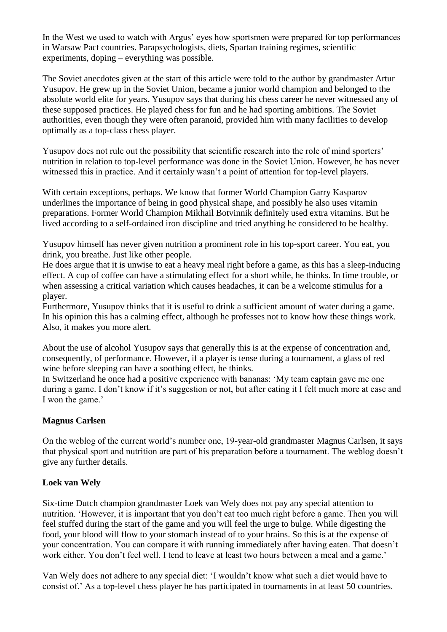In the West we used to watch with Argus' eyes how sportsmen were prepared for top performances in Warsaw Pact countries. Parapsychologists, diets, Spartan training regimes, scientific experiments, doping – everything was possible.

The Soviet anecdotes given at the start of this article were told to the author by grandmaster Artur Yusupov. He grew up in the Soviet Union, became a junior world champion and belonged to the absolute world elite for years. Yusupov says that during his chess career he never witnessed any of these supposed practices. He played chess for fun and he had sporting ambitions. The Soviet authorities, even though they were often paranoid, provided him with many facilities to develop optimally as a top-class chess player.

Yusupov does not rule out the possibility that scientific research into the role of mind sporters' nutrition in relation to top-level performance was done in the Soviet Union. However, he has never witnessed this in practice. And it certainly wasn't a point of attention for top-level players.

With certain exceptions, perhaps. We know that former World Champion Garry Kasparov underlines the importance of being in good physical shape, and possibly he also uses vitamin preparations. Former World Champion Mikhail Botvinnik definitely used extra vitamins. But he lived according to a self-ordained iron discipline and tried anything he considered to be healthy.

Yusupov himself has never given nutrition a prominent role in his top-sport career. You eat, you drink, you breathe. Just like other people.

He does argue that it is unwise to eat a heavy meal right before a game, as this has a sleep-inducing effect. A cup of coffee can have a stimulating effect for a short while, he thinks. In time trouble, or when assessing a critical variation which causes headaches, it can be a welcome stimulus for a player.

Furthermore, Yusupov thinks that it is useful to drink a sufficient amount of water during a game. In his opinion this has a calming effect, although he professes not to know how these things work. Also, it makes you more alert.

About the use of alcohol Yusupov says that generally this is at the expense of concentration and, consequently, of performance. However, if a player is tense during a tournament, a glass of red wine before sleeping can have a soothing effect, he thinks.

In Switzerland he once had a positive experience with bananas: "My team captain gave me one during a game. I don't know if it's suggestion or not, but after eating it I felt much more at ease and I won the game.'

# **Magnus Carlsen**

On the weblog of the current world"s number one, 19-year-old grandmaster Magnus Carlsen, it says that physical sport and nutrition are part of his preparation before a tournament. The weblog doesn"t give any further details.

#### **Loek van Wely**

Six-time Dutch champion grandmaster Loek van Wely does not pay any special attention to nutrition. "However, it is important that you don"t eat too much right before a game. Then you will feel stuffed during the start of the game and you will feel the urge to bulge. While digesting the food, your blood will flow to your stomach instead of to your brains. So this is at the expense of your concentration. You can compare it with running immediately after having eaten. That doesn"t work either. You don't feel well. I tend to leave at least two hours between a meal and a game.'

Van Wely does not adhere to any special diet: "I wouldn"t know what such a diet would have to consist of." As a top-level chess player he has participated in tournaments in at least 50 countries.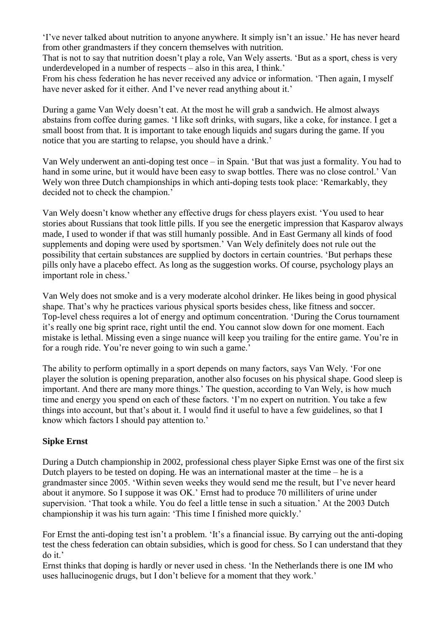'I've never talked about nutrition to anyone anywhere. It simply isn't an issue.' He has never heard from other grandmasters if they concern themselves with nutrition.

That is not to say that nutrition doesn"t play a role, Van Wely asserts. "But as a sport, chess is very underdeveloped in a number of respects – also in this area, I think."

From his chess federation he has never received any advice or information. "Then again, I myself have never asked for it either. And I've never read anything about it.'

During a game Van Wely doesn"t eat. At the most he will grab a sandwich. He almost always abstains from coffee during games. "I like soft drinks, with sugars, like a coke, for instance. I get a small boost from that. It is important to take enough liquids and sugars during the game. If you notice that you are starting to relapse, you should have a drink."

Van Wely underwent an anti-doping test once – in Spain. "But that was just a formality. You had to hand in some urine, but it would have been easy to swap bottles. There was no close control.' Van Wely won three Dutch championships in which anti-doping tests took place: 'Remarkably, they decided not to check the champion.'

Van Wely doesn"t know whether any effective drugs for chess players exist. "You used to hear stories about Russians that took little pills. If you see the energetic impression that Kasparov always made, I used to wonder if that was still humanly possible. And in East Germany all kinds of food supplements and doping were used by sportsmen." Van Wely definitely does not rule out the possibility that certain substances are supplied by doctors in certain countries. "But perhaps these pills only have a placebo effect. As long as the suggestion works. Of course, psychology plays an important role in chess.'

Van Wely does not smoke and is a very moderate alcohol drinker. He likes being in good physical shape. That's why he practices various physical sports besides chess, like fitness and soccer. Top-level chess requires a lot of energy and optimum concentration. "During the Corus tournament it"s really one big sprint race, right until the end. You cannot slow down for one moment. Each mistake is lethal. Missing even a singe nuance will keep you trailing for the entire game. You"re in for a rough ride. You're never going to win such a game.'

The ability to perform optimally in a sport depends on many factors, says Van Wely. "For one player the solution is opening preparation, another also focuses on his physical shape. Good sleep is important. And there are many more things.' The question, according to Van Wely, is how much time and energy you spend on each of these factors. T'm no expert on nutrition. You take a few things into account, but that"s about it. I would find it useful to have a few guidelines, so that I know which factors I should pay attention to.'

#### **Sipke Ernst**

During a Dutch championship in 2002, professional chess player Sipke Ernst was one of the first six Dutch players to be tested on doping. He was an international master at the time – he is a grandmaster since 2005. "Within seven weeks they would send me the result, but I"ve never heard about it anymore. So I suppose it was OK." Ernst had to produce 70 milliliters of urine under supervision. "That took a while. You do feel a little tense in such a situation." At the 2003 Dutch championship it was his turn again: "This time I finished more quickly."

For Ernst the anti-doping test isn't a problem. 'It's a financial issue. By carrying out the anti-doping test the chess federation can obtain subsidies, which is good for chess. So I can understand that they do it.'

Ernst thinks that doping is hardly or never used in chess. "In the Netherlands there is one IM who uses hallucinogenic drugs, but I don't believe for a moment that they work.'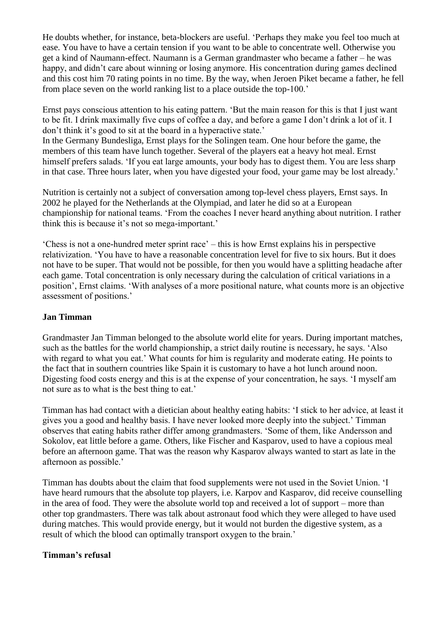He doubts whether, for instance, beta-blockers are useful. "Perhaps they make you feel too much at ease. You have to have a certain tension if you want to be able to concentrate well. Otherwise you get a kind of Naumann-effect. Naumann is a German grandmaster who became a father – he was happy, and didn't care about winning or losing anymore. His concentration during games declined and this cost him 70 rating points in no time. By the way, when Jeroen Piket became a father, he fell from place seven on the world ranking list to a place outside the top-100."

Ernst pays conscious attention to his eating pattern. "But the main reason for this is that I just want to be fit. I drink maximally five cups of coffee a day, and before a game I don"t drink a lot of it. I don't think it's good to sit at the board in a hyperactive state.' In the Germany Bundesliga, Ernst plays for the Solingen team. One hour before the game, the

members of this team have lunch together. Several of the players eat a heavy hot meal. Ernst himself prefers salads. "If you eat large amounts, your body has to digest them. You are less sharp in that case. Three hours later, when you have digested your food, your game may be lost already."

Nutrition is certainly not a subject of conversation among top-level chess players, Ernst says. In 2002 he played for the Netherlands at the Olympiad, and later he did so at a European championship for national teams. "From the coaches I never heard anything about nutrition. I rather think this is because it's not so mega-important.'

"Chess is not a one-hundred meter sprint race" – this is how Ernst explains his in perspective relativization. "You have to have a reasonable concentration level for five to six hours. But it does not have to be super. That would not be possible, for then you would have a splitting headache after each game. Total concentration is only necessary during the calculation of critical variations in a position", Ernst claims. "With analyses of a more positional nature, what counts more is an objective assessment of positions."

#### **Jan Timman**

Grandmaster Jan Timman belonged to the absolute world elite for years. During important matches, such as the battles for the world championship, a strict daily routine is necessary, he says. "Also with regard to what you eat.' What counts for him is regularity and moderate eating. He points to the fact that in southern countries like Spain it is customary to have a hot lunch around noon. Digesting food costs energy and this is at the expense of your concentration, he says. "I myself am not sure as to what is the best thing to eat.'

Timman has had contact with a dietician about healthy eating habits: "I stick to her advice, at least it gives you a good and healthy basis. I have never looked more deeply into the subject." Timman observes that eating habits rather differ among grandmasters. "Some of them, like Andersson and Sokolov, eat little before a game. Others, like Fischer and Kasparov, used to have a copious meal before an afternoon game. That was the reason why Kasparov always wanted to start as late in the afternoon as possible."

Timman has doubts about the claim that food supplements were not used in the Soviet Union. "I have heard rumours that the absolute top players, i.e. Karpov and Kasparov, did receive counselling in the area of food. They were the absolute world top and received a lot of support – more than other top grandmasters. There was talk about astronaut food which they were alleged to have used during matches. This would provide energy, but it would not burden the digestive system, as a result of which the blood can optimally transport oxygen to the brain."

#### **Timman's refusal**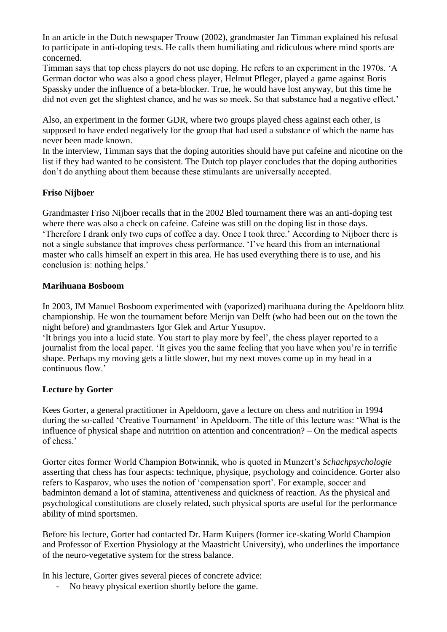In an article in the Dutch newspaper Trouw (2002), grandmaster Jan Timman explained his refusal to participate in anti-doping tests. He calls them humiliating and ridiculous where mind sports are concerned.

Timman says that top chess players do not use doping. He refers to an experiment in the 1970s. "A German doctor who was also a good chess player, Helmut Pfleger, played a game against Boris Spassky under the influence of a beta-blocker. True, he would have lost anyway, but this time he did not even get the slightest chance, and he was so meek. So that substance had a negative effect.'

Also, an experiment in the former GDR, where two groups played chess against each other, is supposed to have ended negatively for the group that had used a substance of which the name has never been made known.

In the interview, Timman says that the doping autorities should have put cafeine and nicotine on the list if they had wanted to be consistent. The Dutch top player concludes that the doping authorities don"t do anything about them because these stimulants are universally accepted.

# **Friso Nijboer**

Grandmaster Friso Nijboer recalls that in the 2002 Bled tournament there was an anti-doping test where there was also a check on cafeine. Cafeine was still on the doping list in those days. "Therefore I drank only two cups of coffee a day. Once I took three." According to Nijboer there is not a single substance that improves chess performance. "I"ve heard this from an international master who calls himself an expert in this area. He has used everything there is to use, and his conclusion is: nothing helps."

#### **Marihuana Bosboom**

In 2003, IM Manuel Bosboom experimented with (vaporized) marihuana during the Apeldoorn blitz championship. He won the tournament before Merijn van Delft (who had been out on the town the night before) and grandmasters Igor Glek and Artur Yusupov.

"It brings you into a lucid state. You start to play more by feel", the chess player reported to a journalist from the local paper. "It gives you the same feeling that you have when you"re in terrific shape. Perhaps my moving gets a little slower, but my next moves come up in my head in a continuous flow.'

#### **Lecture by Gorter**

Kees Gorter, a general practitioner in Apeldoorn, gave a lecture on chess and nutrition in 1994 during the so-called 'Creative Tournament' in Apeldoorn. The title of this lecture was: 'What is the influence of physical shape and nutrition on attention and concentration? – On the medical aspects of chess."

Gorter cites former World Champion Botwinnik, who is quoted in Munzert"s *Schachpsychologie* asserting that chess has four aspects: technique, physique, psychology and coincidence. Gorter also refers to Kasparov, who uses the notion of "compensation sport". For example, soccer and badminton demand a lot of stamina, attentiveness and quickness of reaction. As the physical and psychological constitutions are closely related, such physical sports are useful for the performance ability of mind sportsmen.

Before his lecture, Gorter had contacted Dr. Harm Kuipers (former ice-skating World Champion and Professor of Exertion Physiology at the Maastricht University), who underlines the importance of the neuro-vegetative system for the stress balance.

In his lecture, Gorter gives several pieces of concrete advice:

- No heavy physical exertion shortly before the game.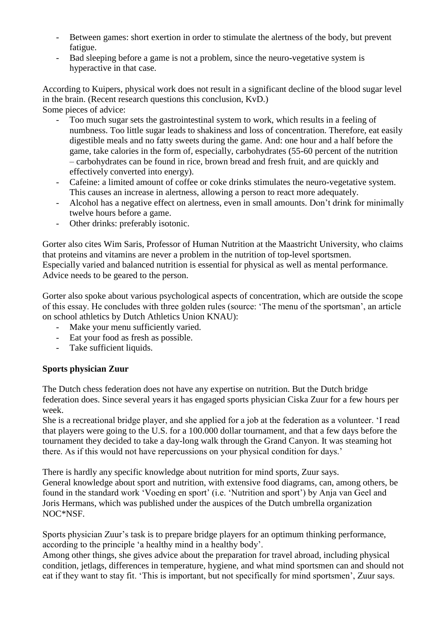- Between games: short exertion in order to stimulate the alertness of the body, but prevent fatigue.
- Bad sleeping before a game is not a problem, since the neuro-vegetative system is hyperactive in that case.

According to Kuipers, physical work does not result in a significant decline of the blood sugar level in the brain. (Recent research questions this conclusion, KvD.)

Some pieces of advice:

- Too much sugar sets the gastrointestinal system to work, which results in a feeling of numbness. Too little sugar leads to shakiness and loss of concentration. Therefore, eat easily digestible meals and no fatty sweets during the game. And: one hour and a half before the game, take calories in the form of, especially, carbohydrates (55-60 percent of the nutrition – carbohydrates can be found in rice, brown bread and fresh fruit, and are quickly and effectively converted into energy).
- Cafeine: a limited amount of coffee or coke drinks stimulates the neuro-vegetative system. This causes an increase in alertness, allowing a person to react more adequately.
- Alcohol has a negative effect on alertness, even in small amounts. Don't drink for minimally twelve hours before a game.
- Other drinks: preferably isotonic.

Gorter also cites Wim Saris, Professor of Human Nutrition at the Maastricht University, who claims that proteins and vitamins are never a problem in the nutrition of top-level sportsmen. Especially varied and balanced nutrition is essential for physical as well as mental performance. Advice needs to be geared to the person.

Gorter also spoke about various psychological aspects of concentration, which are outside the scope of this essay. He concludes with three golden rules (source: "The menu of the sportsman", an article on school athletics by Dutch Athletics Union KNAU):

- Make your menu sufficiently varied.
- Eat your food as fresh as possible.
- Take sufficient liquids.

#### **Sports physician Zuur**

The Dutch chess federation does not have any expertise on nutrition. But the Dutch bridge federation does. Since several years it has engaged sports physician Ciska Zuur for a few hours per week.

She is a recreational bridge player, and she applied for a job at the federation as a volunteer. "I read that players were going to the U.S. for a 100.000 dollar tournament, and that a few days before the tournament they decided to take a day-long walk through the Grand Canyon. It was steaming hot there. As if this would not have repercussions on your physical condition for days."

There is hardly any specific knowledge about nutrition for mind sports, Zuur says. General knowledge about sport and nutrition, with extensive food diagrams, can, among others, be found in the standard work "Voeding en sport" (i.e. "Nutrition and sport") by Anja van Geel and Joris Hermans, which was published under the auspices of the Dutch umbrella organization NOC\*NSF.

Sports physician Zuur's task is to prepare bridge players for an optimum thinking performance, according to the principle "a healthy mind in a healthy body".

Among other things, she gives advice about the preparation for travel abroad, including physical condition, jetlags, differences in temperature, hygiene, and what mind sportsmen can and should not eat if they want to stay fit. "This is important, but not specifically for mind sportsmen", Zuur says.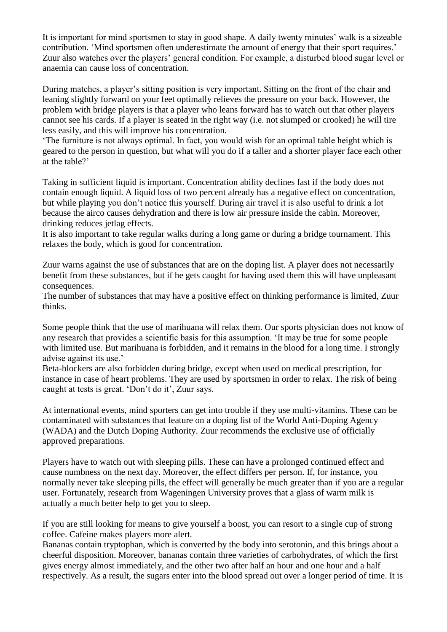It is important for mind sportsmen to stay in good shape. A daily twenty minutes' walk is a sizeable contribution. 'Mind sportsmen often underestimate the amount of energy that their sport requires.' Zuur also watches over the players" general condition. For example, a disturbed blood sugar level or anaemia can cause loss of concentration.

During matches, a player's sitting position is very important. Sitting on the front of the chair and leaning slightly forward on your feet optimally relieves the pressure on your back. However, the problem with bridge players is that a player who leans forward has to watch out that other players cannot see his cards. If a player is seated in the right way (i.e. not slumped or crooked) he will tire less easily, and this will improve his concentration.

"The furniture is not always optimal. In fact, you would wish for an optimal table height which is geared to the person in question, but what will you do if a taller and a shorter player face each other at the table?'

Taking in sufficient liquid is important. Concentration ability declines fast if the body does not contain enough liquid. A liquid loss of two percent already has a negative effect on concentration, but while playing you don"t notice this yourself. During air travel it is also useful to drink a lot because the airco causes dehydration and there is low air pressure inside the cabin. Moreover, drinking reduces jetlag effects.

It is also important to take regular walks during a long game or during a bridge tournament. This relaxes the body, which is good for concentration.

Zuur warns against the use of substances that are on the doping list. A player does not necessarily benefit from these substances, but if he gets caught for having used them this will have unpleasant consequences.

The number of substances that may have a positive effect on thinking performance is limited, Zuur thinks.

Some people think that the use of marihuana will relax them. Our sports physician does not know of any research that provides a scientific basis for this assumption. "It may be true for some people with limited use. But marihuana is forbidden, and it remains in the blood for a long time. I strongly advise against its use."

Beta-blockers are also forbidden during bridge, except when used on medical prescription, for instance in case of heart problems. They are used by sportsmen in order to relax. The risk of being caught at tests is great. 'Don't do it', Zuur says.

At international events, mind sporters can get into trouble if they use multi-vitamins. These can be contaminated with substances that feature on a doping list of the World Anti-Doping Agency (WADA) and the Dutch Doping Authority. Zuur recommends the exclusive use of officially approved preparations.

Players have to watch out with sleeping pills. These can have a prolonged continued effect and cause numbness on the next day. Moreover, the effect differs per person. If, for instance, you normally never take sleeping pills, the effect will generally be much greater than if you are a regular user. Fortunately, research from Wageningen University proves that a glass of warm milk is actually a much better help to get you to sleep.

If you are still looking for means to give yourself a boost, you can resort to a single cup of strong coffee. Cafeine makes players more alert.

Bananas contain tryptophan, which is converted by the body into serotonin, and this brings about a cheerful disposition. Moreover, bananas contain three varieties of carbohydrates, of which the first gives energy almost immediately, and the other two after half an hour and one hour and a half respectively. As a result, the sugars enter into the blood spread out over a longer period of time. It is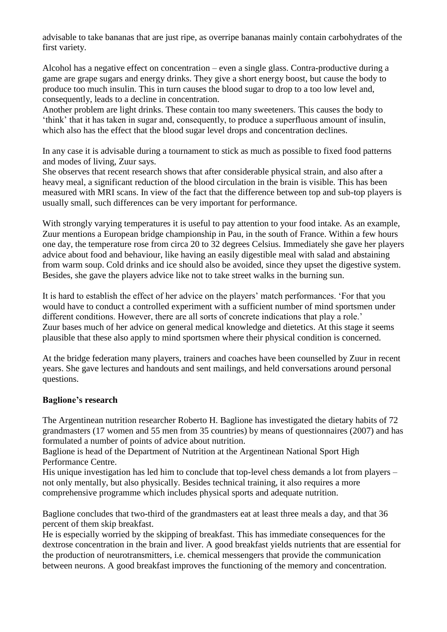advisable to take bananas that are just ripe, as overripe bananas mainly contain carbohydrates of the first variety.

Alcohol has a negative effect on concentration – even a single glass. Contra-productive during a game are grape sugars and energy drinks. They give a short energy boost, but cause the body to produce too much insulin. This in turn causes the blood sugar to drop to a too low level and, consequently, leads to a decline in concentration.

Another problem are light drinks. These contain too many sweeteners. This causes the body to "think" that it has taken in sugar and, consequently, to produce a superfluous amount of insulin, which also has the effect that the blood sugar level drops and concentration declines.

In any case it is advisable during a tournament to stick as much as possible to fixed food patterns and modes of living, Zuur says.

She observes that recent research shows that after considerable physical strain, and also after a heavy meal, a significant reduction of the blood circulation in the brain is visible. This has been measured with MRI scans. In view of the fact that the difference between top and sub-top players is usually small, such differences can be very important for performance.

With strongly varying temperatures it is useful to pay attention to your food intake. As an example, Zuur mentions a European bridge championship in Pau, in the south of France. Within a few hours one day, the temperature rose from circa 20 to 32 degrees Celsius. Immediately she gave her players advice about food and behaviour, like having an easily digestible meal with salad and abstaining from warm soup. Cold drinks and ice should also be avoided, since they upset the digestive system. Besides, she gave the players advice like not to take street walks in the burning sun.

It is hard to establish the effect of her advice on the players' match performances. 'For that you would have to conduct a controlled experiment with a sufficient number of mind sportsmen under different conditions. However, there are all sorts of concrete indications that play a role.' Zuur bases much of her advice on general medical knowledge and dietetics. At this stage it seems plausible that these also apply to mind sportsmen where their physical condition is concerned.

At the bridge federation many players, trainers and coaches have been counselled by Zuur in recent years. She gave lectures and handouts and sent mailings, and held conversations around personal questions.

#### **Baglione's research**

The Argentinean nutrition researcher Roberto H. Baglione has investigated the dietary habits of 72 grandmasters (17 women and 55 men from 35 countries) by means of questionnaires (2007) and has formulated a number of points of advice about nutrition.

Baglione is head of the Department of Nutrition at the Argentinean National Sport High Performance Centre.

His unique investigation has led him to conclude that top-level chess demands a lot from players – not only mentally, but also physically. Besides technical training, it also requires a more comprehensive programme which includes physical sports and adequate nutrition.

Baglione concludes that two-third of the grandmasters eat at least three meals a day, and that 36 percent of them skip breakfast.

He is especially worried by the skipping of breakfast. This has immediate consequences for the dextrose concentration in the brain and liver. A good breakfast yields nutrients that are essential for the production of neurotransmitters, i.e. chemical messengers that provide the communication between neurons. A good breakfast improves the functioning of the memory and concentration.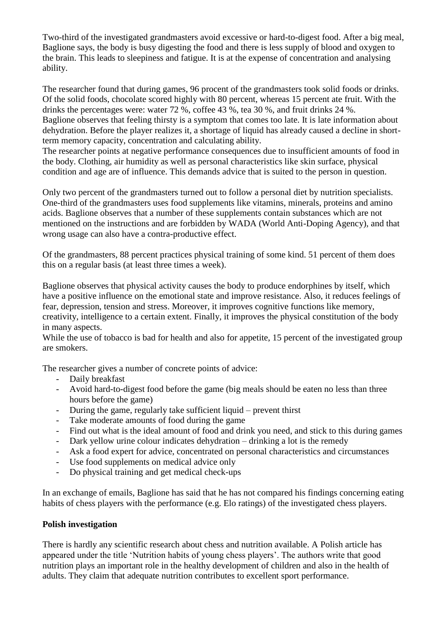Two-third of the investigated grandmasters avoid excessive or hard-to-digest food. After a big meal, Baglione says, the body is busy digesting the food and there is less supply of blood and oxygen to the brain. This leads to sleepiness and fatigue. It is at the expense of concentration and analysing ability.

The researcher found that during games, 96 procent of the grandmasters took solid foods or drinks. Of the solid foods, chocolate scored highly with 80 percent, whereas 15 percent ate fruit. With the drinks the percentages were: water 72 %, coffee 43 %, tea 30 %, and fruit drinks 24 %. Baglione observes that feeling thirsty is a symptom that comes too late. It is late information about dehydration. Before the player realizes it, a shortage of liquid has already caused a decline in shortterm memory capacity, concentration and calculating ability.

The researcher points at negative performance consequences due to insufficient amounts of food in the body. Clothing, air humidity as well as personal characteristics like skin surface, physical condition and age are of influence. This demands advice that is suited to the person in question.

Only two percent of the grandmasters turned out to follow a personal diet by nutrition specialists. One-third of the grandmasters uses food supplements like vitamins, minerals, proteins and amino acids. Baglione observes that a number of these supplements contain substances which are not mentioned on the instructions and are forbidden by WADA (World Anti-Doping Agency), and that wrong usage can also have a contra-productive effect.

Of the grandmasters, 88 percent practices physical training of some kind. 51 percent of them does this on a regular basis (at least three times a week).

Baglione observes that physical activity causes the body to produce endorphines by itself, which have a positive influence on the emotional state and improve resistance. Also, it reduces feelings of fear, depression, tension and stress. Moreover, it improves cognitive functions like memory, creativity, intelligence to a certain extent. Finally, it improves the physical constitution of the body in many aspects.

While the use of tobacco is bad for health and also for appetite, 15 percent of the investigated group are smokers.

The researcher gives a number of concrete points of advice:

- Daily breakfast
- Avoid hard-to-digest food before the game (big meals should be eaten no less than three hours before the game)
- During the game, regularly take sufficient liquid prevent thirst
- Take moderate amounts of food during the game
- Find out what is the ideal amount of food and drink you need, and stick to this during games
- Dark yellow urine colour indicates dehydration drinking a lot is the remedy
- Ask a food expert for advice, concentrated on personal characteristics and circumstances
- Use food supplements on medical advice only
- Do physical training and get medical check-ups

In an exchange of emails, Baglione has said that he has not compared his findings concerning eating habits of chess players with the performance (e.g. Elo ratings) of the investigated chess players.

#### **Polish investigation**

There is hardly any scientific research about chess and nutrition available. A Polish article has appeared under the title "Nutrition habits of young chess players". The authors write that good nutrition plays an important role in the healthy development of children and also in the health of adults. They claim that adequate nutrition contributes to excellent sport performance.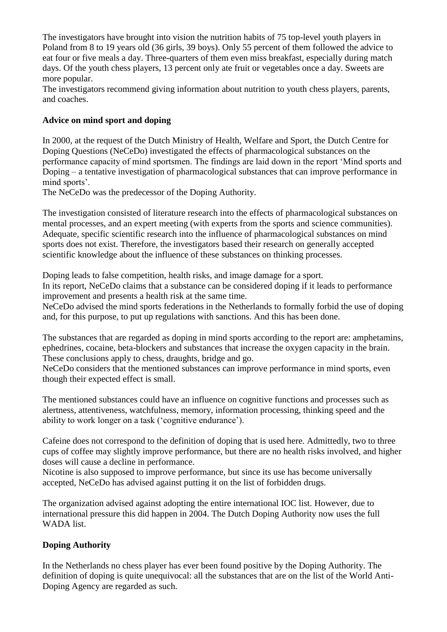The investigators have brought into vision the nutrition habits of 75 top-level youth players in Poland from 8 to 19 years old (36 girls, 39 boys). Only 55 percent of them followed the advice to eat four or five meals a day. Three-quarters of them even miss breakfast, especially during match days. Of the youth chess players, 13 percent only ate fruit or vegetables once a day. Sweets are more popular.

The investigators recommend giving information about nutrition to youth chess players, parents, and coaches.

#### **Advice on mind sport and doping**

In 2000, at the request of the Dutch Ministry of Health, Welfare and Sport, the Dutch Centre for Doping Questions (NeCeDo) investigated the effects of pharmacological substances on the performance capacity of mind sportsmen. The findings are laid down in the report "Mind sports and Doping – a tentative investigation of pharmacological substances that can improve performance in mind sports'.

The NeCeDo was the predecessor of the Doping Authority.

The investigation consisted of literature research into the effects of pharmacological substances on mental processes, and an expert meeting (with experts from the sports and science communities). Adequate, specific scientific research into the influence of pharmacological substances on mind sports does not exist. Therefore, the investigators based their research on generally accepted scientific knowledge about the influence of these substances on thinking processes.

Doping leads to false competition, health risks, and image damage for a sport.

In its report, NeCeDo claims that a substance can be considered doping if it leads to performance improvement and presents a health risk at the same time.

NeCeDo advised the mind sports federations in the Netherlands to formally forbid the use of doping and, for this purpose, to put up regulations with sanctions. And this has been done.

The substances that are regarded as doping in mind sports according to the report are: amphetamins, ephedrines, cocaine, beta-blockers and substances that increase the oxygen capacity in the brain. These conclusions apply to chess, draughts, bridge and go.

NeCeDo considers that the mentioned substances can improve performance in mind sports, even though their expected effect is small.

The mentioned substances could have an influence on cognitive functions and processes such as alertness, attentiveness, watchfulness, memory, information processing, thinking speed and the ability to work longer on a task ("cognitive endurance").

Cafeine does not correspond to the definition of doping that is used here. Admittedly, two to three cups of coffee may slightly improve performance, but there are no health risks involved, and higher doses will cause a decline in performance.

Nicotine is also supposed to improve performance, but since its use has become universally accepted, NeCeDo has advised against putting it on the list of forbidden drugs.

The organization advised against adopting the entire international IOC list. However, due to international pressure this did happen in 2004. The Dutch Doping Authority now uses the full WADA list.

#### **Doping Authority**

In the Netherlands no chess player has ever been found positive by the Doping Authority. The definition of doping is quite unequivocal: all the substances that are on the list of the World Anti-Doping Agency are regarded as such.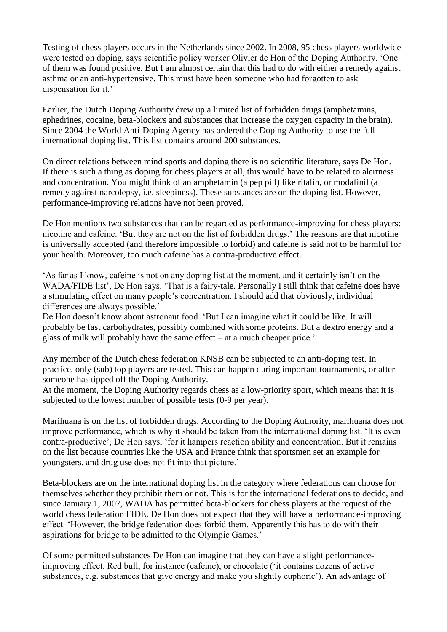Testing of chess players occurs in the Netherlands since 2002. In 2008, 95 chess players worldwide were tested on doping, says scientific policy worker Olivier de Hon of the Doping Authority. "One of them was found positive. But I am almost certain that this had to do with either a remedy against asthma or an anti-hypertensive. This must have been someone who had forgotten to ask dispensation for it.'

Earlier, the Dutch Doping Authority drew up a limited list of forbidden drugs (amphetamins, ephedrines, cocaine, beta-blockers and substances that increase the oxygen capacity in the brain). Since 2004 the World Anti-Doping Agency has ordered the Doping Authority to use the full international doping list. This list contains around 200 substances.

On direct relations between mind sports and doping there is no scientific literature, says De Hon. If there is such a thing as doping for chess players at all, this would have to be related to alertness and concentration. You might think of an amphetamin (a pep pill) like ritalin, or modafinil (a remedy against narcolepsy, i.e. sleepiness). These substances are on the doping list. However, performance-improving relations have not been proved.

De Hon mentions two substances that can be regarded as performance-improving for chess players: nicotine and cafeine. "But they are not on the list of forbidden drugs." The reasons are that nicotine is universally accepted (and therefore impossible to forbid) and cafeine is said not to be harmful for your health. Moreover, too much cafeine has a contra-productive effect.

"As far as I know, cafeine is not on any doping list at the moment, and it certainly isn"t on the WADA/FIDE list', De Hon says. 'That is a fairy-tale. Personally I still think that cafeine does have a stimulating effect on many people"s concentration. I should add that obviously, individual differences are always possible.'

De Hon doesn't know about astronaut food. 'But I can imagine what it could be like. It will probably be fast carbohydrates, possibly combined with some proteins. But a dextro energy and a glass of milk will probably have the same effect – at a much cheaper price."

Any member of the Dutch chess federation KNSB can be subjected to an anti-doping test. In practice, only (sub) top players are tested. This can happen during important tournaments, or after someone has tipped off the Doping Authority.

At the moment, the Doping Authority regards chess as a low-priority sport, which means that it is subjected to the lowest number of possible tests (0-9 per year).

Marihuana is on the list of forbidden drugs. According to the Doping Authority, marihuana does not improve performance, which is why it should be taken from the international doping list. "It is even contra-productive", De Hon says, "for it hampers reaction ability and concentration. But it remains on the list because countries like the USA and France think that sportsmen set an example for youngsters, and drug use does not fit into that picture."

Beta-blockers are on the international doping list in the category where federations can choose for themselves whether they prohibit them or not. This is for the international federations to decide, and since January 1, 2007, WADA has permitted beta-blockers for chess players at the request of the world chess federation FIDE. De Hon does not expect that they will have a performance-improving effect. "However, the bridge federation does forbid them. Apparently this has to do with their aspirations for bridge to be admitted to the Olympic Games."

Of some permitted substances De Hon can imagine that they can have a slight performanceimproving effect. Red bull, for instance (cafeine), or chocolate ("it contains dozens of active substances, e.g. substances that give energy and make you slightly euphoric'). An advantage of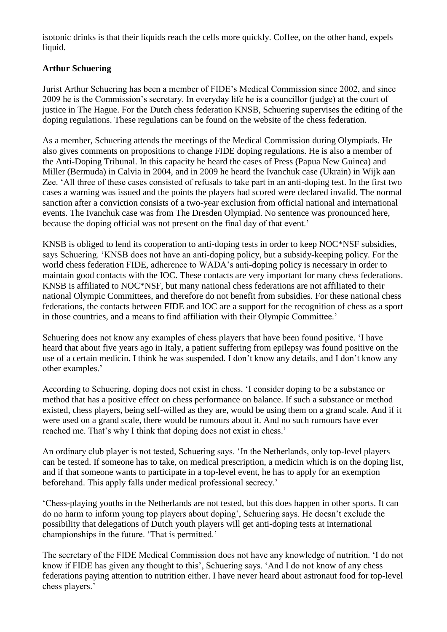isotonic drinks is that their liquids reach the cells more quickly. Coffee, on the other hand, expels liquid.

# **Arthur Schuering**

Jurist Arthur Schuering has been a member of FIDE"s Medical Commission since 2002, and since 2009 he is the Commission"s secretary. In everyday life he is a councillor (judge) at the court of justice in The Hague. For the Dutch chess federation KNSB, Schuering supervises the editing of the doping regulations. These regulations can be found on the website of the chess federation.

As a member, Schuering attends the meetings of the Medical Commission during Olympiads. He also gives comments on propositions to change FIDE doping regulations. He is also a member of the Anti-Doping Tribunal. In this capacity he heard the cases of Press (Papua New Guinea) and Miller (Bermuda) in Calvia in 2004, and in 2009 he heard the Ivanchuk case (Ukrain) in Wijk aan Zee. "All three of these cases consisted of refusals to take part in an anti-doping test. In the first two cases a warning was issued and the points the players had scored were declared invalid. The normal sanction after a conviction consists of a two-year exclusion from official national and international events. The Ivanchuk case was from The Dresden Olympiad. No sentence was pronounced here, because the doping official was not present on the final day of that event.'

KNSB is obliged to lend its cooperation to anti-doping tests in order to keep NOC\*NSF subsidies, says Schuering. "KNSB does not have an anti-doping policy, but a subsidy-keeping policy. For the world chess federation FIDE, adherence to WADA"s anti-doping policy is necessary in order to maintain good contacts with the IOC. These contacts are very important for many chess federations. KNSB is affiliated to NOC\*NSF, but many national chess federations are not affiliated to their national Olympic Committees, and therefore do not benefit from subsidies. For these national chess federations, the contacts between FIDE and IOC are a support for the recognition of chess as a sport in those countries, and a means to find affiliation with their Olympic Committee."

Schuering does not know any examples of chess players that have been found positive. "I have heard that about five years ago in Italy, a patient suffering from epilepsy was found positive on the use of a certain medicin. I think he was suspended. I don"t know any details, and I don"t know any other examples."

According to Schuering, doping does not exist in chess. "I consider doping to be a substance or method that has a positive effect on chess performance on balance. If such a substance or method existed, chess players, being self-willed as they are, would be using them on a grand scale. And if it were used on a grand scale, there would be rumours about it. And no such rumours have ever reached me. That's why I think that doping does not exist in chess.'

An ordinary club player is not tested, Schuering says. "In the Netherlands, only top-level players can be tested. If someone has to take, on medical prescription, a medicin which is on the doping list, and if that someone wants to participate in a top-level event, he has to apply for an exemption beforehand. This apply falls under medical professional secrecy.'

"Chess-playing youths in the Netherlands are not tested, but this does happen in other sports. It can do no harm to inform young top players about doping", Schuering says. He doesn"t exclude the possibility that delegations of Dutch youth players will get anti-doping tests at international championships in the future. "That is permitted."

The secretary of the FIDE Medical Commission does not have any knowledge of nutrition. "I do not know if FIDE has given any thought to this', Schuering says. 'And I do not know of any chess federations paying attention to nutrition either. I have never heard about astronaut food for top-level chess players."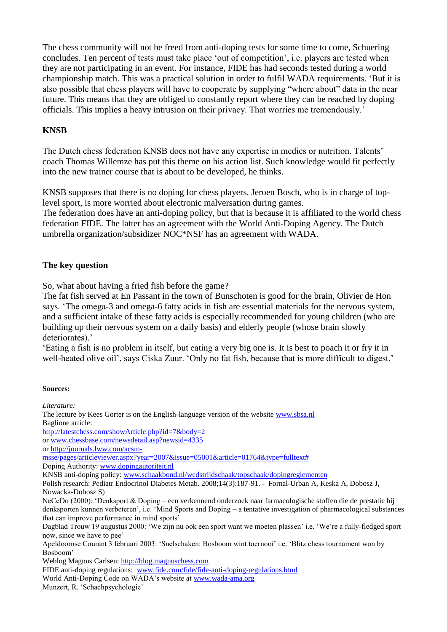The chess community will not be freed from anti-doping tests for some time to come, Schuering concludes. Ten percent of tests must take place "out of competition", i.e. players are tested when they are not participating in an event. For instance, FIDE has had seconds tested during a world championship match. This was a practical solution in order to fulfil WADA requirements. "But it is also possible that chess players will have to cooperate by supplying "where about" data in the near future. This means that they are obliged to constantly report where they can be reached by doping officials. This implies a heavy intrusion on their privacy. That worries me tremendously."

#### **KNSB**

The Dutch chess federation KNSB does not have any expertise in medics or nutrition. Talents" coach Thomas Willemze has put this theme on his action list. Such knowledge would fit perfectly into the new trainer course that is about to be developed, he thinks.

KNSB supposes that there is no doping for chess players. Jeroen Bosch, who is in charge of toplevel sport, is more worried about electronic malversation during games.

The federation does have an anti-doping policy, but that is because it is affiliated to the world chess federation FIDE. The latter has an agreement with the World Anti-Doping Agency. The Dutch umbrella organization/subsidizer NOC\*NSF has an agreement with WADA.

# **The key question**

So, what about having a fried fish before the game?

The fat fish served at En Passant in the town of Bunschoten is good for the brain, Olivier de Hon says. "The omega-3 and omega-6 fatty acids in fish are essential materials for the nervous system, and a sufficient intake of these fatty acids is especially recommended for young children (who are building up their nervous system on a daily basis) and elderly people (whose brain slowly deteriorates).'

"Eating a fish is no problem in itself, but eating a very big one is. It is best to poach it or fry it in well-heated olive oil', says Ciska Zuur. 'Only no fat fish, because that is more difficult to digest.'

#### **Sources:**

*Literature:* The lecture by Kees Gorter is on the English-language version of the website [www.sbsa.nl](http://www.sbsa.nl/) Baglione article: <http://latestchess.com/showArticle.php?id=7&body=2> or [www.chessbase.com/newsdetail.asp?newsid=4335](http://www.chessbase.com/newsdetail.asp?newsid=4335) or [http://journals.lww.com/acsm](http://journals.lww.com/acsm-msse/pages/articleviewer.aspx?year=2007&issue=05001&article=01764&type=fulltext)[msse/pages/articleviewer.aspx?year=2007&issue=05001&article=01764&type=fulltext#](http://journals.lww.com/acsm-msse/pages/articleviewer.aspx?year=2007&issue=05001&article=01764&type=fulltext) Doping Authority: [www.dopingautoriteit.nl](http://www.dopingautoriteit.nl/) KNSB anti-doping policy[: www.schaakbond.nl/wedstrijdschaak/topschaak/dopingreglementen](http://www.schaakbond.nl/wedstrijdschaak/topschaak/dopingreglementen) Polish research: Pediatr Endocrinol Diabetes Metab. 2008;14(3):187-91. - Fornal-Urban A, Keska A, Dobosz J, Nowacka-Dobosz S) NeCeDo (2000): "Denksport & Doping – een verkennend onderzoek naar farmacologische stoffen die de prestatie bij denksporten kunnen verbeteren", i.e. "Mind Sports and Doping – a tentative investigation of pharmacological substances that can improve performance in mind sports' Dagblad Trouw 19 augustus 2000: "We zijn nu ook een sport want we moeten plassen" i.e. "We"re a fully-fledged sport now, since we have to pee" Apeldoornse Courant 3 februari 2003: "Snelschaken: Bosboom wint toernooi" i.e. "Blitz chess tournament won by Bosboom" Weblog Magnus Carlsen: [http://blog.magnuschess.com](http://blog.magnuschess.com/) FIDE anti-doping regulations: [www.fide.com/fide/fide-anti-doping-regulations.html](http://www.fide.com/fide/fide-anti-doping-regulations.html) World Anti-Doping Code on WADA's website at [www.wada-ama.org](http://www.wada-ama.org/) Munzert, R. "Schachpsychologie"